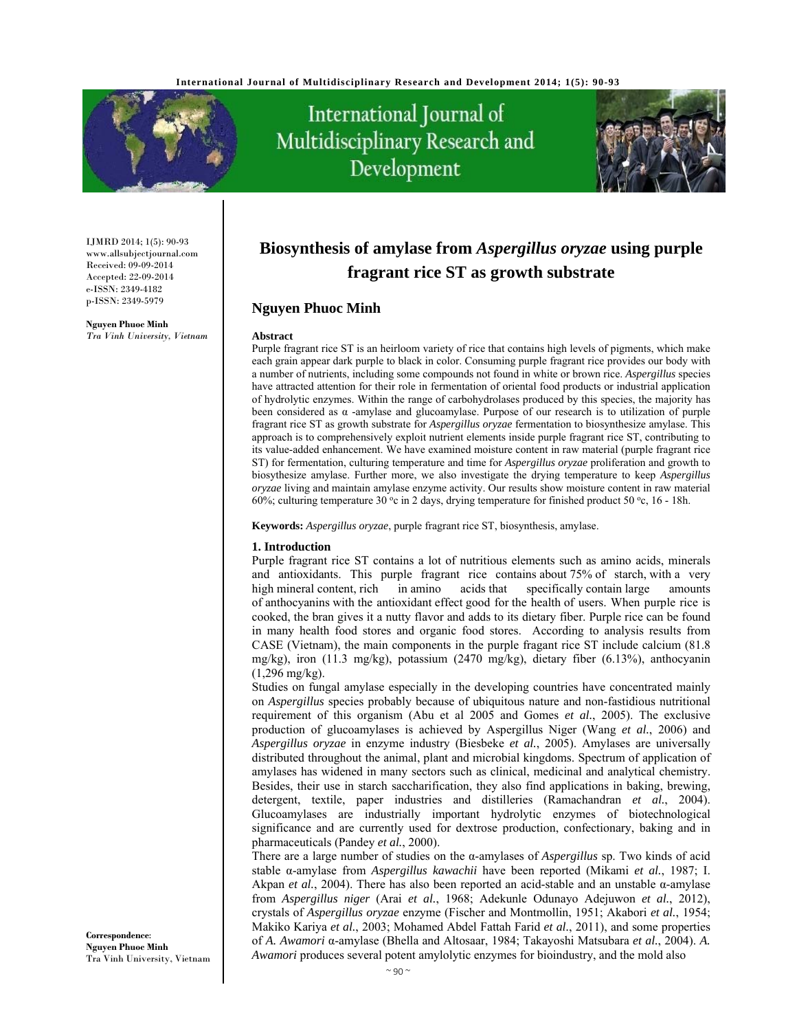

International Journal of Multidisciplinary Research and Development



IJMRD 2014; 1(5): 90-93 www.allsubjectjournal.com Received: 09-09-2014 Accepted: 22-09-2014 e-ISSN: 2349-4182 p-ISSN: 2349-5979

**Nguyen Phuoc Minh** *Tra Vinh University, Vietnam* 

# **Biosynthesis of amylase from** *Aspergillus oryzae* **using purple fragrant rice ST as growth substrate**

# **Nguyen Phuoc Minh**

#### **Abstract**

Purple fragrant rice ST is an heirloom variety of rice that contains high levels of pigments, which make each grain appear dark purple to black in color. Consuming purple fragrant rice provides our body with a number of nutrients, including some compounds not found in white or brown rice. *Aspergillus* species have attracted attention for their role in fermentation of oriental food products or industrial application of hydrolytic enzymes. Within the range of carbohydrolases produced by this species, the majority has been considered as  $\alpha$  -amylase and glucoamylase. Purpose of our research is to utilization of purple fragrant rice ST as growth substrate for *Aspergillus oryzae* fermentation to biosynthesize amylase. This approach is to comprehensively exploit nutrient elements inside purple fragrant rice ST, contributing to its value-added enhancement. We have examined moisture content in raw material (purple fragrant rice ST) for fermentation, culturing temperature and time for *Aspergillus oryzae* proliferation and growth to biosythesize amylase. Further more, we also investigate the drying temperature to keep *Aspergillus oryzae* living and maintain amylase enzyme activity. Our results show moisture content in raw material 60%; culturing temperature 30 °c in 2 days, drying temperature for finished product 50 °c, 16 - 18h.

**Keywords:** *Aspergillus oryzae*, purple fragrant rice ST, biosynthesis, amylase.

#### **1. Introduction**

Purple fragrant rice ST contains a lot of nutritious elements such as amino acids, minerals and antioxidants. This purple fragrant rice contains about 75% of starch, with a very high mineral content, rich in amino acids that specifically contain large amounts of anthocyanins with the antioxidant effect good for the health of users. When purple rice is cooked, the bran gives it a nutty flavor and adds to its dietary fiber. Purple rice can be found in many health food stores and organic food stores. According to analysis results from CASE (Vietnam), the main components in the purple fragant rice ST include calcium (81.8 mg/kg), iron (11.3 mg/kg), potassium (2470 mg/kg), dietary fiber (6.13%), anthocyanin (1,296 mg/kg).

Studies on fungal amylase especially in the developing countries have concentrated mainly on *Aspergillus* species probably because of ubiquitous nature and non-fastidious nutritional requirement of this organism (Abu et al 2005 and Gomes *et al.*, 2005). The exclusive production of glucoamylases is achieved by Aspergillus Niger (Wang *et al.*, 2006) and *Aspergillus oryzae* in enzyme industry (Biesbeke *et al.*, 2005). Amylases are universally distributed throughout the animal, plant and microbial kingdoms. Spectrum of application of amylases has widened in many sectors such as clinical, medicinal and analytical chemistry. Besides, their use in starch saccharification, they also find applications in baking, brewing, detergent, textile, paper industries and distilleries (Ramachandran *et al.*, 2004). Glucoamylases are industrially important hydrolytic enzymes of biotechnological significance and are currently used for dextrose production, confectionary, baking and in pharmaceuticals (Pandey *et al.*, 2000).

There are a large number of studies on the α-amylases of *Aspergillus* sp. Two kinds of acid stable α-amylase from *Aspergillus kawachii* have been reported (Mikami *et al.*, 1987; I. Akpan *et al.*, 2004). There has also been reported an acid-stable and an unstable α-amylase from *Aspergillus niger* (Arai *et al.*, 1968; Adekunle Odunayo Adejuwon *et al.*, 2012), crystals of *Aspergillus oryzae* enzyme (Fischer and Montmollin, 1951; Akabori *et al.*, 1954; Makiko Kariya *et al.*, 2003; Mohamed Abdel Fattah Farid *et al.*, 2011), and some properties of *A. Awamori* α-amylase (Bhella and Altosaar, 1984; Takayoshi Matsubara *et al.*, 2004). *A. Awamori* produces several potent amylolytic enzymes for bioindustry, and the mold also

**Correspondence**: **Nguyen Phuoc Minh** Tra Vinh University, Vietnam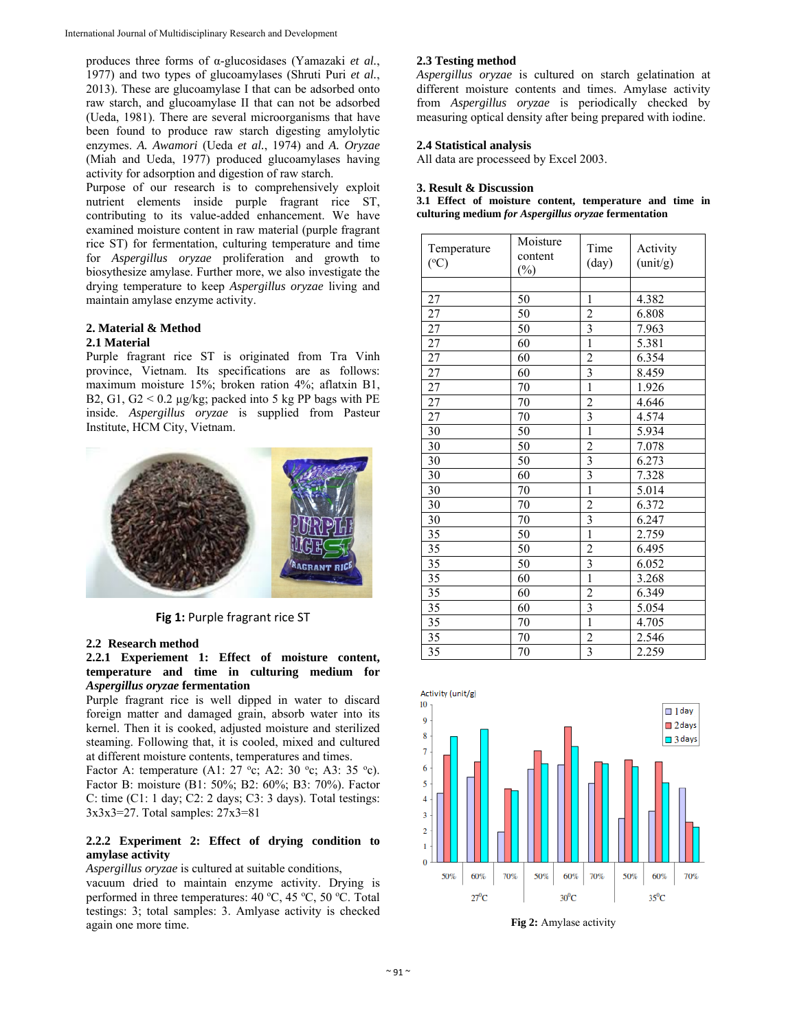produces three forms of α-glucosidases (Yamazaki *et al.*, 1977) and two types of glucoamylases (Shruti Puri *et al.*, 2013). These are glucoamylase I that can be adsorbed onto raw starch, and glucoamylase II that can not be adsorbed (Ueda, 1981). There are several microorganisms that have been found to produce raw starch digesting amylolytic enzymes. *A. Awamori* (Ueda *et al.*, 1974) and *A. Oryzae* (Miah and Ueda, 1977) produced glucoamylases having activity for adsorption and digestion of raw starch.

Purpose of our research is to comprehensively exploit nutrient elements inside purple fragrant rice ST, contributing to its value-added enhancement. We have examined moisture content in raw material (purple fragrant rice ST) for fermentation, culturing temperature and time for *Aspergillus oryzae* proliferation and growth to biosythesize amylase. Further more, we also investigate the drying temperature to keep *Aspergillus oryzae* living and maintain amylase enzyme activity.

#### **2. Material & Method 2.1 Material**

Purple fragrant rice ST is originated from Tra Vinh province, Vietnam. Its specifications are as follows: maximum moisture 15%; broken ration 4%; aflatxin B1, B2, G1, G2  $\leq$  0.2 µg/kg; packed into 5 kg PP bags with PE inside. *Aspergillus oryzae* is supplied from Pasteur Institute, HCM City, Vietnam.



**Fig 1:** Purple fragrant rice ST

# **2.2 Research method**

# **2.2.1 Experiement 1: Effect of moisture content, temperature and time in culturing medium for**  *Aspergillus oryzae* **fermentation**

Purple fragrant rice is well dipped in water to discard foreign matter and damaged grain, absorb water into its kernel. Then it is cooked, adjusted moisture and sterilized steaming. Following that, it is cooled, mixed and cultured at different moisture contents, temperatures and times.

Factor A: temperature (A1: 27 °c; A2: 30 °c; A3: 35 °c). Factor B: moisture (B1: 50%; B2: 60%; B3: 70%). Factor C: time (C1: 1 day; C2: 2 days; C3: 3 days). Total testings: 3x3x3=27. Total samples: 27x3=81

# **2.2.2 Experiment 2: Effect of drying condition to amylase activity**

*Aspergillus oryzae* is cultured at suitable conditions,

vacuum dried to maintain enzyme activity. Drying is performed in three temperatures:  $40^{\circ}$ C,  $45^{\circ}$ C,  $50^{\circ}$ C. Total testings: 3; total samples: 3. Amlyase activity is checked again one more time.

# **2.3 Testing method**

*Aspergillus oryzae* is cultured on starch gelatination at different moisture contents and times. Amylase activity from *Aspergillus oryzae* is periodically checked by measuring optical density after being prepared with iodine.

# **2.4 Statistical analysis**

All data are processeed by Excel 2003.

# **3. Result & Discussion**

**3.1 Effect of moisture content, temperature and time in culturing medium** *for Aspergillus oryzae* **fermentation** 

| Temperature<br>$({}^{\circ}C)$ | Moisture<br>content<br>$(\%)$ | Time<br>(day)                    | Activity<br>(unit/g) |
|--------------------------------|-------------------------------|----------------------------------|----------------------|
| 27                             | 50                            | $\mathbf{1}$                     | 4.382                |
|                                |                               |                                  |                      |
| 27                             | 50                            | $\overline{c}$<br>$\overline{3}$ | 6.808                |
| 27                             | 50                            |                                  | 7.963                |
| 27                             | 60                            | $\overline{1}$                   | 5.381                |
| 27                             | 60                            | $\overline{2}$                   | 6.354                |
| 27                             | 60                            | $\overline{\mathbf{3}}$          | 8.459                |
| 27                             | 70                            | $\overline{1}$                   | 1.926                |
| 27                             | 70                            | $\overline{2}$                   | 4.646                |
| 27                             | 70                            | $\overline{\mathbf{3}}$          | 4.574                |
| 30                             | 50                            | $\overline{1}$                   | 5.934                |
| 30                             | 50                            | $\overline{2}$                   | 7.078                |
| 30                             | 50                            | $\overline{\mathbf{3}}$          | 6.273                |
| 30                             | 60                            | $\overline{\mathbf{3}}$          | 7.328                |
| 30                             | 70                            | $\overline{1}$                   | 5.014                |
| 30                             | $70\,$                        | $\overline{2}$                   | 6.372                |
| 30                             | 70                            | $\overline{\mathbf{3}}$          | 6.247                |
| 35                             | 50                            | $\mathbf{1}$                     | 2.759                |
| 35                             | 50                            | $\overline{2}$                   | 6.495                |
| 35                             | 50                            | $\overline{\mathbf{3}}$          | 6.052                |
| 35                             | 60                            | $\overline{1}$                   | 3.268                |
| 35                             | 60                            | $\overline{2}$                   | 6.349                |
| 35                             | 60                            | $\overline{\mathbf{3}}$          | 5.054                |
| 35                             | 70                            | $\overline{1}$                   | 4.705                |
| 35                             | 70                            | $\overline{2}$                   | 2.546                |
| 35                             | 70                            | $\overline{3}$                   | 2.259                |



**Fig 2:** Amylase activity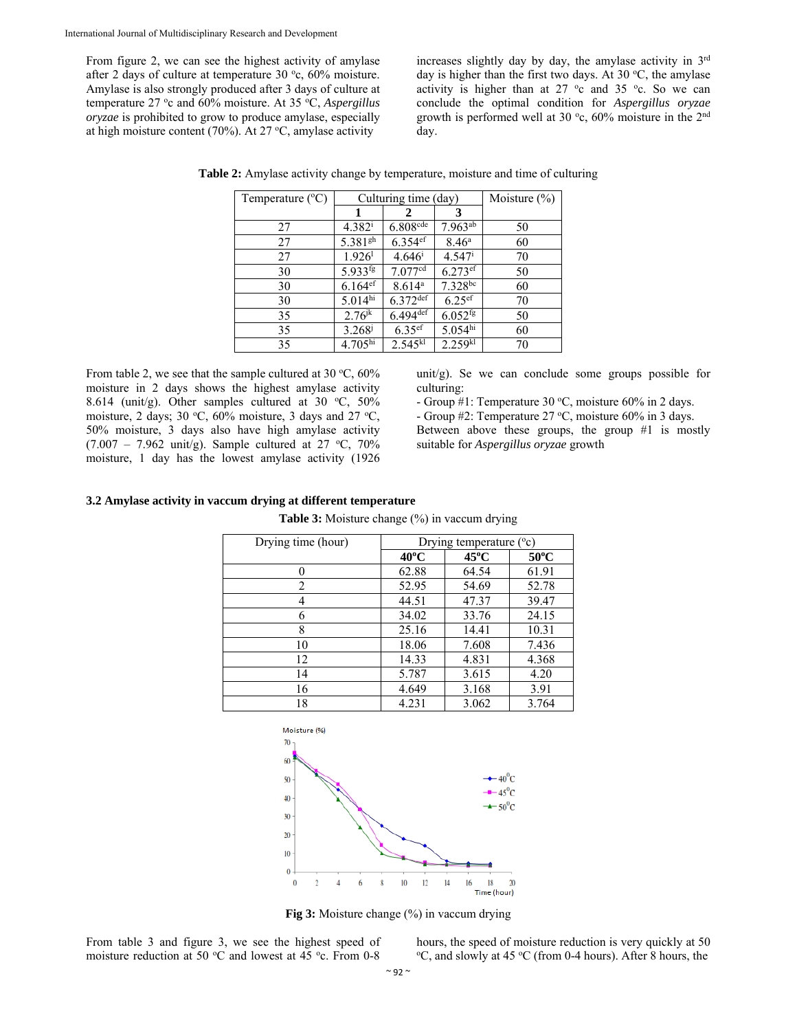From figure 2, we can see the highest activity of amylase after 2 days of culture at temperature  $30^{\circ}$ c,  $60\%$  moisture. Amylase is also strongly produced after 3 days of culture at temperature 27 °c and 60% moisture. At 35 °C, *Aspergillus oryzae* is prohibited to grow to produce amylase, especially at high moisture content (70%). At 27  $\mathrm{^{\circ}C},$  amylase activity

increases slightly day by day, the amylase activity in 3rd day is higher than the first two days. At 30  $^{\circ}$ C, the amylase activity is higher than at  $27^\circ$ c and  $35^\circ$ c. So we can conclude the optimal condition for *Aspergillus oryzae* growth is performed well at 30  $\degree$ c, 60% moisture in the 2<sup>nd</sup> day.

| Temperature $(^{\circ}C)$ | Culturing time (day)  |                        |                       | Moisture $(\% )$ |
|---------------------------|-----------------------|------------------------|-----------------------|------------------|
|                           | 1                     |                        | 3                     |                  |
| 27                        | $4.382^{i}$           | $6.808$ cde            | $7.963^{ab}$          | 50               |
| 27                        | 5.381 <sup>gh</sup>   | $6.354$ <sup>ef</sup>  | 8.46 <sup>a</sup>     | 60               |
| 27                        | 1.926 <sup>1</sup>    | $4.646^{\rm i}$        | $4.547$ <sup>i</sup>  | 70               |
| 30                        | $5.933^{fg}$          | 7.077 <sup>cd</sup>    | $6.273$ <sup>ef</sup> | 50               |
| 30                        | $6.164$ <sup>ef</sup> | 8.614 <sup>a</sup>     | $7.328^{bc}$          | 60               |
| 30                        | 5.014 <sup>hi</sup>   | $6.372$ <sup>def</sup> | $6.25$ ef             | 70               |
| 35                        | $2.76^{jk}$           | $6.494$ def            | $6.052$ <sup>fg</sup> | 50               |
| 35                        | $3.268^{j}$           | $6.35$ ef              | 5.054 <sup>hi</sup>   | 60               |
| 35                        | 4.705 <sup>hi</sup>   | $2.545^{k\bar{l}}$     | 2.259 <sup>kl</sup>   | 70               |

**Table 2:** Amylase activity change by temperature, moisture and time of culturing

From table 2, we see that the sample cultured at 30  $\degree$ C, 60% moisture in 2 days shows the highest amylase activity 8.614 (unit/g). Other samples cultured at 30  $°C$ , 50% moisture, 2 days; 30 °C, 60% moisture, 3 days and 27 °C, 50% moisture, 3 days also have high amylase activity  $(7.007 - 7.962 \text{ unit/g})$ . Sample cultured at  $27 \text{ °C}$ ,  $70\%$ moisture, 1 day has the lowest amylase activity (1926

unit/g). Se we can conclude some groups possible for culturing:

- Group #1: Temperature 30 °C, moisture 60% in 2 days.

- Group  $#2$ : Temperature  $27 °C$ , moisture  $60\%$  in 3 days.

Between above these groups, the group #1 is mostly suitable for *Aspergillus oryzae* growth

#### **3.2 Amylase activity in vaccum drying at different temperature**

**Table 3:** Moisture change (%) in vaccum drying

| Drying time (hour) | Drying temperature $(°c)$ |                |                |
|--------------------|---------------------------|----------------|----------------|
|                    | $40^{\circ}$ C            | $45^{\circ}$ C | $50^{\circ}$ C |
| 0                  | 62.88                     | 64.54          | 61.91          |
| 2                  | 52.95                     | 54.69          | 52.78          |
| 4                  | 44.51                     | 47.37          | 39.47          |
| 6                  | 34.02                     | 33.76          | 24.15          |
| 8                  | 25.16                     | 14.41          | 10.31          |
| 10                 | 18.06                     | 7.608          | 7.436          |
| 12                 | 14.33                     | 4.831          | 4.368          |
| 14                 | 5.787                     | 3.615          | 4.20           |
| 16                 | 4.649                     | 3.168          | 3.91           |
| 18                 | 4.231                     | 3.062          | 3.764          |



**Fig 3:** Moisture change (%) in vaccum drying

From table 3 and figure 3, we see the highest speed of moisture reduction at 50  $\mathrm{^{\circ}C}$  and lowest at 45  $\mathrm{^{\circ}c}$ . From 0-8 hours, the speed of moisture reduction is very quickly at 50 <sup>o</sup>C, and slowly at 45 <sup>o</sup>C (from 0-4 hours). After 8 hours, the